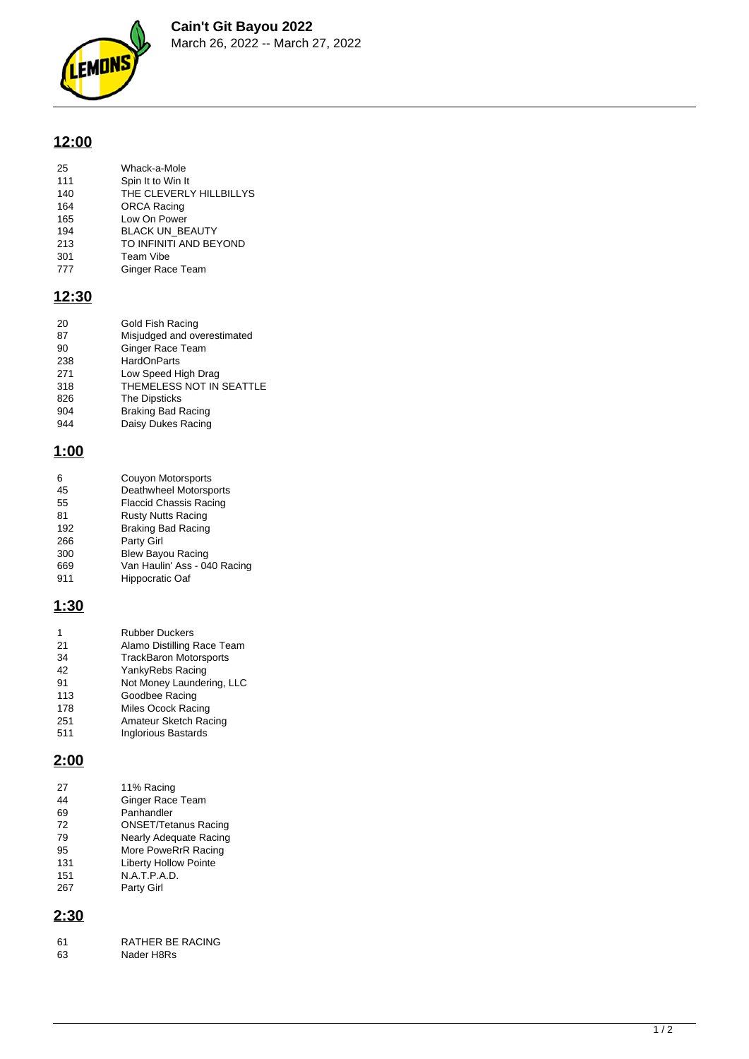

# **12:00**

| 25  | Whack-a-Mole            |
|-----|-------------------------|
| 111 | Spin It to Win It       |
| 140 | THE CLEVERLY HILLBILLYS |
| 164 | <b>ORCA Racing</b>      |
| 165 | Low On Power            |
| 194 | <b>BLACK UN BEAUTY</b>  |
|     |                         |

- TO INFINITI AND BEYOND
- 213 DEACK ON<br>
213 TO INFINIT<br>
301 Team Vibe<br>
777 Ginger Rac Ginger Race Team

#### **12:30**

| 20  | Gold Fish Racing            |
|-----|-----------------------------|
| 87  | Misjudged and overestimated |
| 90  | Ginger Race Team            |
| 238 | <b>HardOnParts</b>          |
| 271 | Low Speed High Drag         |
| 318 | THEMELESS NOT IN SEATTLE    |
| 826 | <b>The Dipsticks</b>        |
| 904 | <b>Braking Bad Racing</b>   |
| 944 | Daisy Dukes Racing          |

## **1:00**

| 6   | Couyon Motorsports            |
|-----|-------------------------------|
| 45  | Deathwheel Motorsports        |
| 55  | <b>Flaccid Chassis Racing</b> |
| 81  | <b>Rusty Nutts Racing</b>     |
| 192 | <b>Braking Bad Racing</b>     |
| 266 | Party Girl                    |
| 300 | <b>Blew Bayou Racing</b>      |
| 669 | Van Haulin' Ass - 040 Racing  |
| 911 | Hippocratic Oaf               |

## **1:30**

| 1   | <b>Rubber Duckers</b>         |
|-----|-------------------------------|
| 21  | Alamo Distilling Race Team    |
| 34  | <b>TrackBaron Motorsports</b> |
| 42  | YankyRebs Racing              |
| 91  | Not Money Laundering, LLC     |
| 113 | Goodbee Racing                |
| 178 | Miles Ocock Racing            |
| 251 | Amateur Sketch Racing         |
| 511 | <b>Inglorious Bastards</b>    |

## **2:00**

| 27  | 11% Racing                    |
|-----|-------------------------------|
| 44  | <b>Ginger Race Team</b>       |
| 69  | Panhandler                    |
| 72  | <b>ONSET/Tetanus Racing</b>   |
| 79  | <b>Nearly Adequate Racing</b> |
| 95  | More PoweRrR Racing           |
| 131 | <b>Liberty Hollow Pointe</b>  |
| 151 | N.A.T.P.A.D.                  |
| 267 | Party Girl                    |

# **2:30**

| -61 | RATHER BE RACING |
|-----|------------------|
| 63  | Nader H8Rs       |